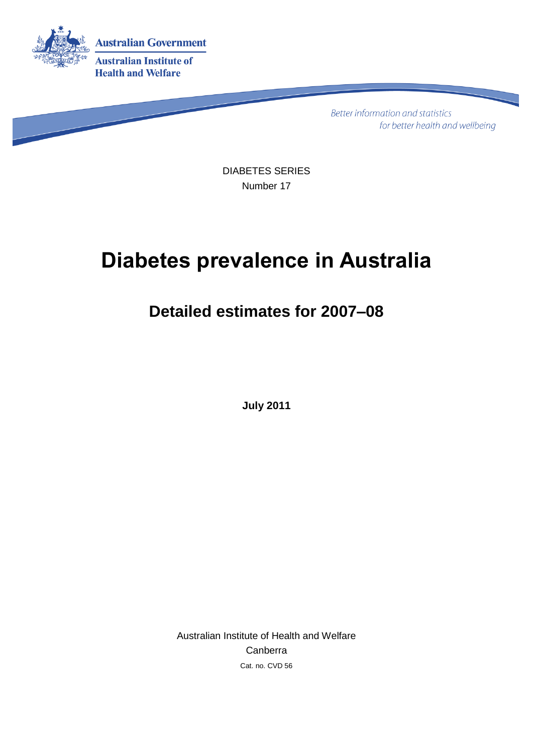

Better information and statistics for better health and wellbeing

DIABETES SERIES Number 17

# **Diabetes prevalence in Australia**

## **Detailed estimates for 2007–08**

**July 2011**

Australian Institute of Health and Welfare Canberra Cat. no. CVD 56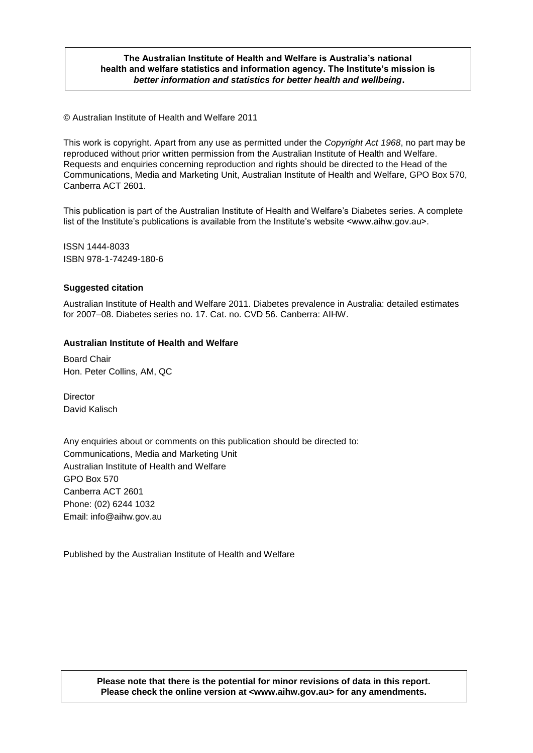#### **The Australian Institute of Health and Welfare is Australia's national health and welfare statistics and information agency. The Institute's mission is** *better information and statistics for better health and wellbeing***.**

© Australian Institute of Health and Welfare 2011

This work is copyright. Apart from any use as permitted under the *Copyright Act 1968*, no part may be reproduced without prior written permission from the Australian Institute of Health and Welfare. Requests and enquiries concerning reproduction and rights should be directed to the Head of the Communications, Media and Marketing Unit, Australian Institute of Health and Welfare, GPO Box 570, Canberra ACT 2601.

This publication is part of the Australian Institute of Health and Welfare's Diabetes series. A complete list of the Institute's publications is available from the Institute's website <www.aihw.gov.au>.

ISSN 1444-8033 ISBN 978-1-74249-180-6

#### **Suggested citation**

Australian Institute of Health and Welfare 2011. Diabetes prevalence in Australia: detailed estimates for 2007–08. Diabetes series no. 17. Cat. no. CVD 56. Canberra: AIHW.

#### **Australian Institute of Health and Welfare**

Board Chair Hon. Peter Collins, AM, QC

**Director** David Kalisch

Any enquiries about or comments on this publication should be directed to: Communications, Media and Marketing Unit Australian Institute of Health and Welfare GPO Box 570 Canberra ACT 2601 Phone: (02) 6244 1032 Email: info@aihw.gov.au

Published by the Australian Institute of Health and Welfare

#### **Please note that there is the potential for minor revisions of data in this report. Please check the online version at <www.aihw.gov.au> for any amendments.**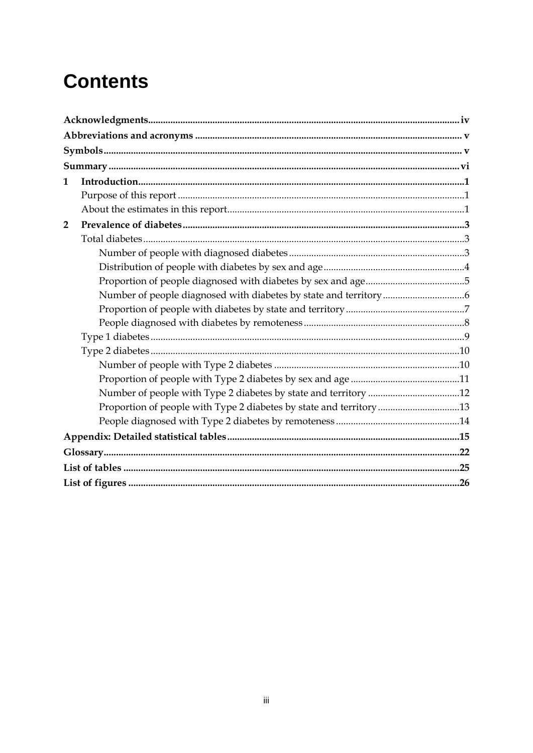# **Contents**

| $\mathbf{1}$   |                                                                    |  |
|----------------|--------------------------------------------------------------------|--|
|                |                                                                    |  |
|                |                                                                    |  |
| $\overline{2}$ |                                                                    |  |
|                |                                                                    |  |
|                |                                                                    |  |
|                |                                                                    |  |
|                |                                                                    |  |
|                |                                                                    |  |
|                |                                                                    |  |
|                |                                                                    |  |
|                |                                                                    |  |
|                |                                                                    |  |
|                |                                                                    |  |
|                |                                                                    |  |
|                |                                                                    |  |
|                | Proportion of people with Type 2 diabetes by state and territory13 |  |
|                |                                                                    |  |
|                |                                                                    |  |
|                |                                                                    |  |
|                |                                                                    |  |
|                |                                                                    |  |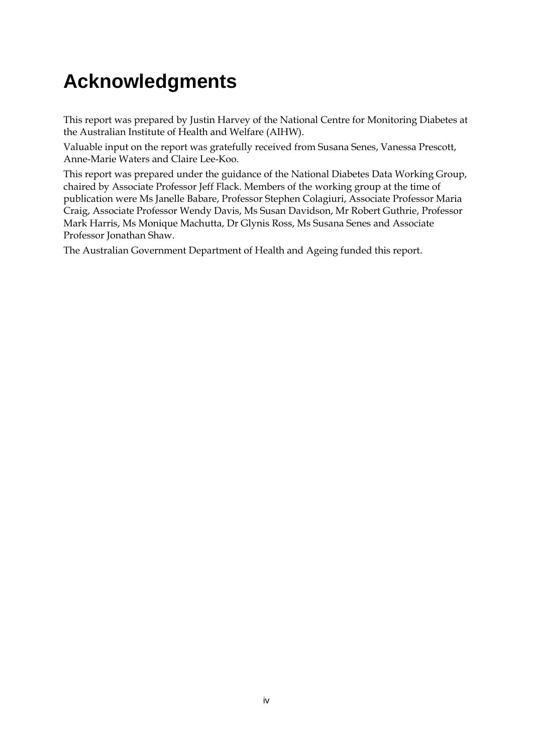# <span id="page-3-0"></span>**Acknowledgments**

This report was prepared by Justin Harvey of the National Centre for Monitoring Diabetes at the Australian Institute of Health and Welfare (AIHW).

Valuable input on the report was gratefully received from Susana Senes, Vanessa Prescott, Anne-Marie Waters and Claire Lee-Koo.

This report was prepared under the guidance of the National Diabetes Data Working Group, chaired by Associate Professor Jeff Flack. Members of the working group at the time of publication were Ms Janelle Babare, Professor Stephen Colagiuri, Associate Professor Maria Craig, Associate Professor Wendy Davis, Ms Susan Davidson, Mr Robert Guthrie, Professor Mark Harris, Ms Monique Machutta, Dr Glynis Ross, Ms Susana Senes and Associate Professor Jonathan Shaw.

The Australian Government Department of Health and Ageing funded this report.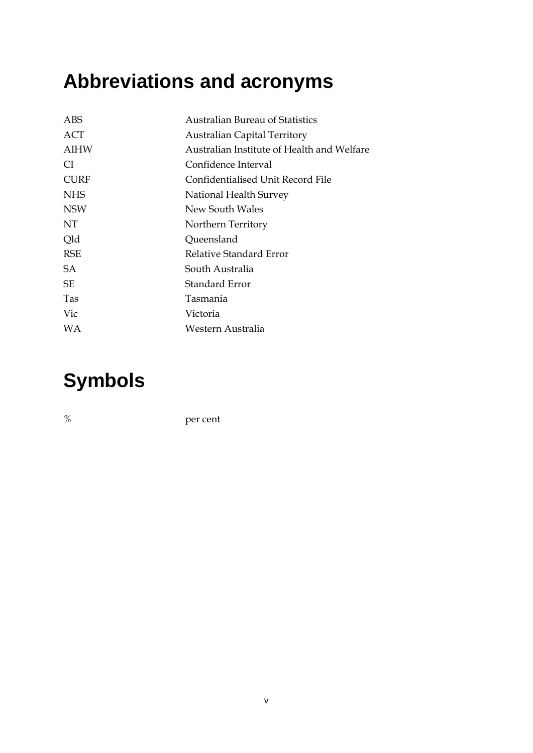# <span id="page-4-0"></span>**Abbreviations and acronyms**

| ABS         | <b>Australian Bureau of Statistics</b>     |
|-------------|--------------------------------------------|
| ACT         | <b>Australian Capital Territory</b>        |
| AIHW        | Australian Institute of Health and Welfare |
| CI.         | Confidence Interval                        |
| <b>CURF</b> | Confidentialised Unit Record File          |
| <b>NHS</b>  | National Health Survey                     |
| <b>NSW</b>  | New South Wales                            |
| NT.         | Northern Territory                         |
| Qld         | Queensland                                 |
| <b>RSE</b>  | Relative Standard Error                    |
| SA.         | South Australia                            |
| <b>SE</b>   | Standard Error                             |
| Tas         | Tasmania                                   |
| Vic         | Victoria                                   |
| WA          | Western Australia                          |
|             |                                            |

## <span id="page-4-1"></span>**Symbols**

% per cent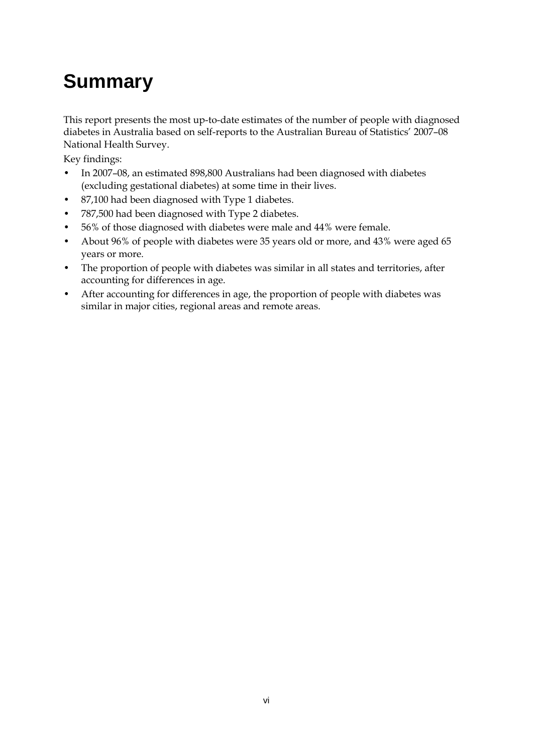# <span id="page-5-0"></span>**Summary**

This report presents the most up-to-date estimates of the number of people with diagnosed diabetes in Australia based on self-reports to the Australian Bureau of Statistics' 2007–08 National Health Survey.

Key findings:

- In 2007–08, an estimated 898,800 Australians had been diagnosed with diabetes (excluding gestational diabetes) at some time in their lives.
- 87,100 had been diagnosed with Type 1 diabetes.
- 787,500 had been diagnosed with Type 2 diabetes.
- 56% of those diagnosed with diabetes were male and 44% were female.
- About 96% of people with diabetes were 35 years old or more, and 43% were aged 65 years or more.
- The proportion of people with diabetes was similar in all states and territories, after accounting for differences in age.
- After accounting for differences in age, the proportion of people with diabetes was similar in major cities, regional areas and remote areas.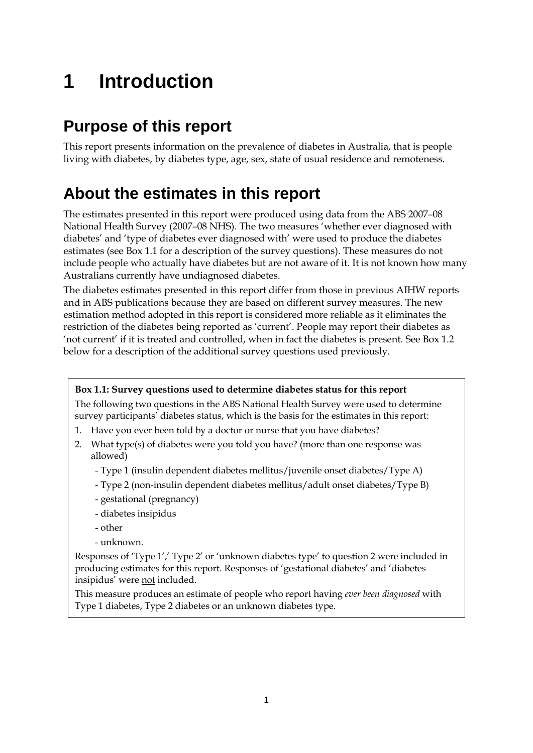# <span id="page-6-0"></span>**1 Introduction**

## <span id="page-6-1"></span>**Purpose of this report**

This report presents information on the prevalence of diabetes in Australia, that is people living with diabetes, by diabetes type, age, sex, state of usual residence and remoteness.

## <span id="page-6-2"></span>**About the estimates in this report**

The estimates presented in this report were produced using data from the ABS 2007–08 National Health Survey (2007–08 NHS). The two measures 'whether ever diagnosed with diabetes' and 'type of diabetes ever diagnosed with' were used to produce the diabetes estimates (see Box 1.1 for a description of the survey questions). These measures do not include people who actually have diabetes but are not aware of it. It is not known how many Australians currently have undiagnosed diabetes.

The diabetes estimates presented in this report differ from those in previous AIHW reports and in ABS publications because they are based on different survey measures. The new estimation method adopted in this report is considered more reliable as it eliminates the restriction of the diabetes being reported as 'current'. People may report their diabetes as 'not current' if it is treated and controlled, when in fact the diabetes is present. See Box 1.2 below for a description of the additional survey questions used previously.

### **Box 1.1: Survey questions used to determine diabetes status for this report**

The following two questions in the ABS National Health Survey were used to determine survey participants' diabetes status, which is the basis for the estimates in this report:

- 1. Have you ever been told by a doctor or nurse that you have diabetes?
- 2. What type(s) of diabetes were you told you have? (more than one response was allowed)
	- Type 1 (insulin dependent diabetes mellitus/juvenile onset diabetes/Type A)
	- Type 2 (non-insulin dependent diabetes mellitus/adult onset diabetes/Type B)
	- gestational (pregnancy)
	- diabetes insipidus
	- other
	- unknown.

Responses of 'Type 1',' Type 2' or 'unknown diabetes type' to question 2 were included in producing estimates for this report. Responses of 'gestational diabetes' and 'diabetes insipidus' were not included.

This measure produces an estimate of people who report having *ever been diagnosed* with Type 1 diabetes, Type 2 diabetes or an unknown diabetes type.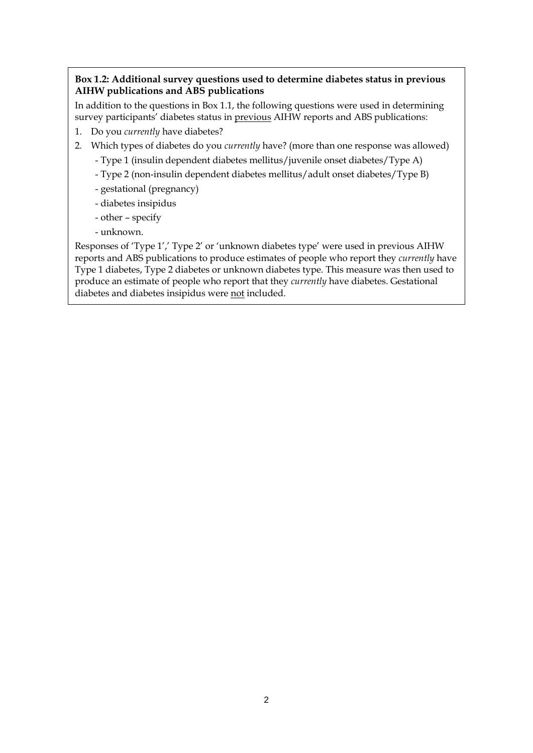### **Box 1.2: Additional survey questions used to determine diabetes status in previous AIHW publications and ABS publications**

In addition to the questions in Box 1.1, the following questions were used in determining survey participants' diabetes status in previous AIHW reports and ABS publications:

- 1. Do you *currently* have diabetes?
- 2. Which types of diabetes do you *currently* have? (more than one response was allowed)
	- Type 1 (insulin dependent diabetes mellitus/juvenile onset diabetes/Type A)
	- Type 2 (non-insulin dependent diabetes mellitus/adult onset diabetes/Type B)
	- gestational (pregnancy)
	- diabetes insipidus
	- other specify
	- unknown.

Responses of 'Type 1',' Type 2' or 'unknown diabetes type' were used in previous AIHW reports and ABS publications to produce estimates of people who report they *currently* have Type 1 diabetes, Type 2 diabetes or unknown diabetes type. This measure was then used to produce an estimate of people who report that they *currently* have diabetes. Gestational diabetes and diabetes insipidus were not included.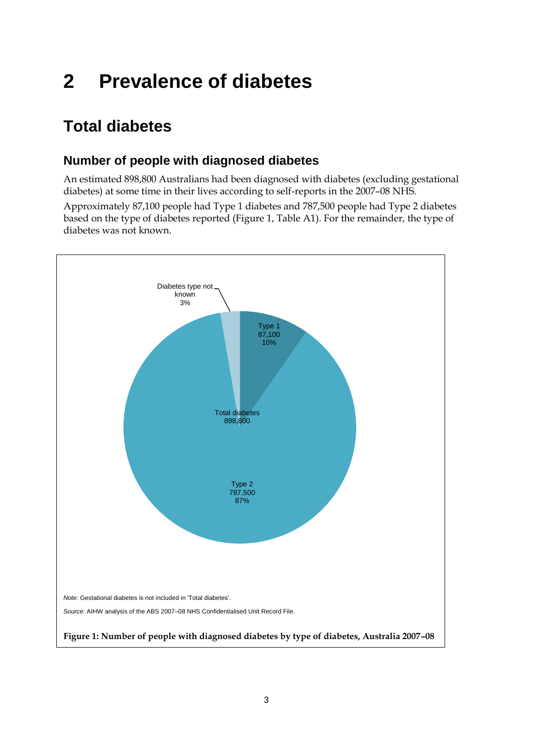# <span id="page-8-0"></span>**2 Prevalence of diabetes**

## <span id="page-8-1"></span>**Total diabetes**

## <span id="page-8-2"></span>**Number of people with diagnosed diabetes**

An estimated 898,800 Australians had been diagnosed with diabetes (excluding gestational diabetes) at some time in their lives according to self-reports in the 2007–08 NHS.

Approximately 87,100 people had Type 1 diabetes and 787,500 people had Type 2 diabetes based on the type of diabetes reported (Figure 1, Table A1). For the remainder, the type of diabetes was not known.

<span id="page-8-3"></span>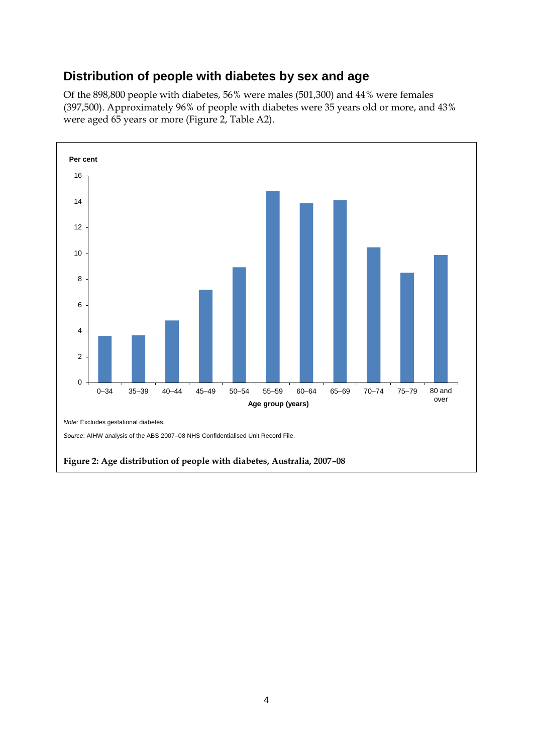### <span id="page-9-0"></span>**Distribution of people with diabetes by sex and age**

Of the 898,800 people with diabetes, 56% were males (501,300) and 44% were females (397,500). Approximately 96% of people with diabetes were 35 years old or more, and 43% were aged 65 years or more (Figure 2, Table A2).

<span id="page-9-1"></span>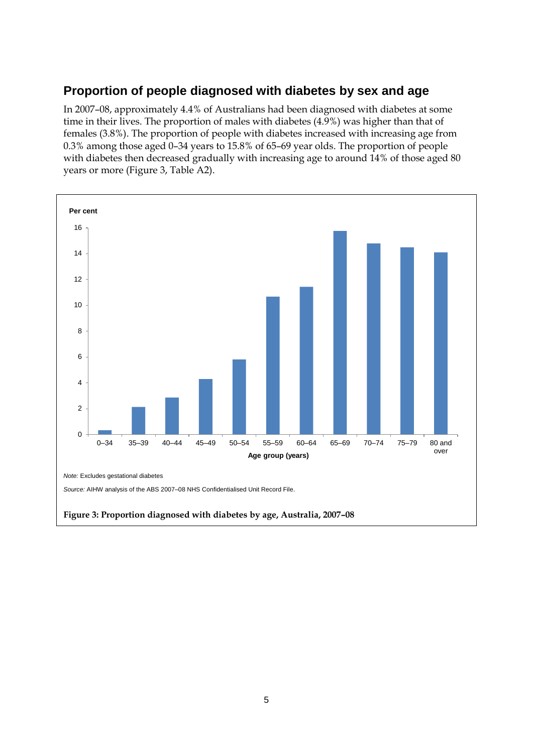## <span id="page-10-0"></span>**Proportion of people diagnosed with diabetes by sex and age**

In 2007–08, approximately 4.4% of Australians had been diagnosed with diabetes at some time in their lives. The proportion of males with diabetes (4.9%) was higher than that of females (3.8%). The proportion of people with diabetes increased with increasing age from 0.3% among those aged 0–34 years to 15.8% of 65–69 year olds. The proportion of people with diabetes then decreased gradually with increasing age to around 14% of those aged 80 years or more (Figure 3, Table A2).

<span id="page-10-1"></span>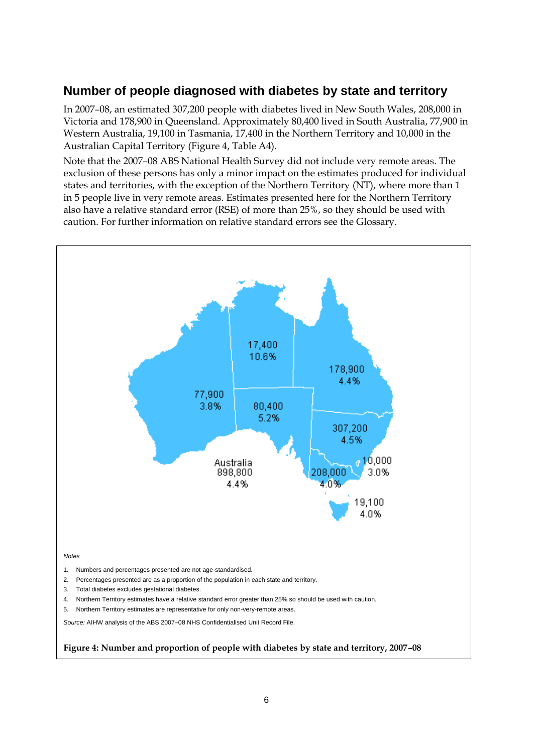## <span id="page-11-0"></span>**Number of people diagnosed with diabetes by state and territory**

In 2007–08, an estimated 307,200 people with diabetes lived in New South Wales, 208,000 in Victoria and 178,900 in Queensland. Approximately 80,400 lived in South Australia, 77,900 in Western Australia, 19,100 in Tasmania, 17,400 in the Northern Territory and 10,000 in the Australian Capital Territory (Figure 4, Table A4).

Note that the 2007–08 ABS National Health Survey did not include very remote areas. The exclusion of these persons has only a minor impact on the estimates produced for individual states and territories, with the exception of the Northern Territory (NT), where more than 1 in 5 people live in very remote areas. Estimates presented here for the Northern Territory also have a relative standard error (RSE) of more than 25%, so they should be used with caution. For further information on relative standard errors see the Glossary.

<span id="page-11-1"></span>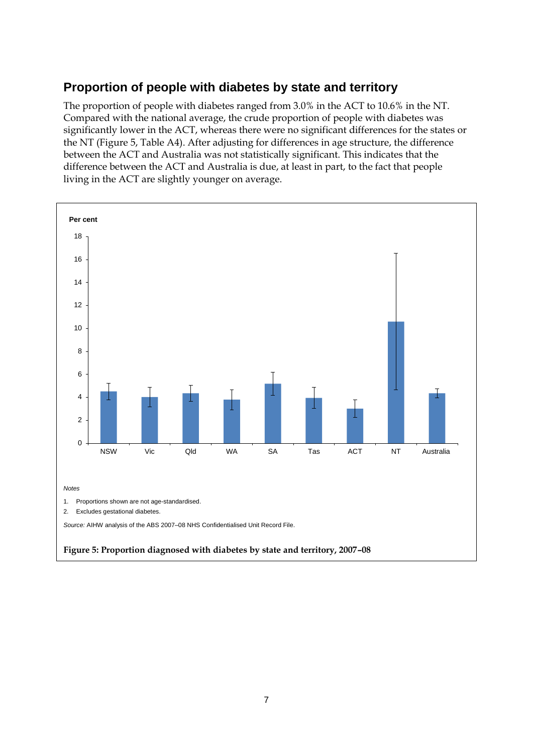## <span id="page-12-0"></span>**Proportion of people with diabetes by state and territory**

The proportion of people with diabetes ranged from 3.0% in the ACT to 10.6% in the NT. Compared with the national average, the crude proportion of people with diabetes was significantly lower in the ACT, whereas there were no significant differences for the states or the NT (Figure 5, Table A4). After adjusting for differences in age structure, the difference between the ACT and Australia was not statistically significant. This indicates that the difference between the ACT and Australia is due, at least in part, to the fact that people living in the ACT are slightly younger on average.

<span id="page-12-1"></span>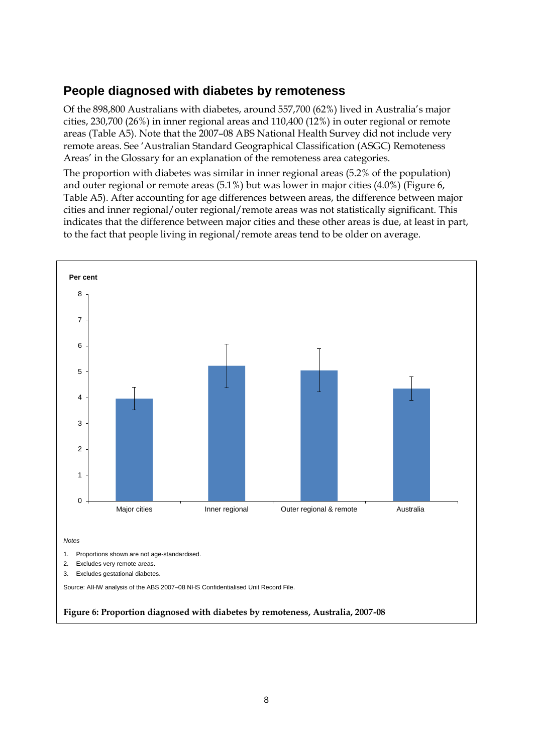## <span id="page-13-0"></span>**People diagnosed with diabetes by remoteness**

Of the 898,800 Australians with diabetes, around 557,700 (62%) lived in Australia's major cities, 230,700 (26%) in inner regional areas and 110,400 (12%) in outer regional or remote areas (Table A5). Note that the 2007–08 ABS National Health Survey did not include very remote areas. See 'Australian Standard Geographical Classification (ASGC) Remoteness Areas' in the Glossary for an explanation of the remoteness area categories.

The proportion with diabetes was similar in inner regional areas (5.2% of the population) and outer regional or remote areas (5.1%) but was lower in major cities (4.0%) (Figure 6, Table A5). After accounting for age differences between areas, the difference between major cities and inner regional/outer regional/remote areas was not statistically significant. This indicates that the difference between major cities and these other areas is due, at least in part, to the fact that people living in regional/remote areas tend to be older on average.

<span id="page-13-1"></span>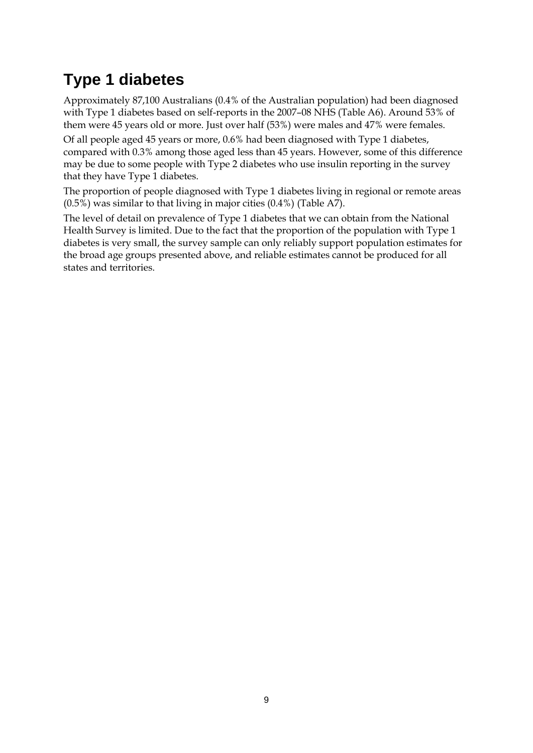## <span id="page-14-0"></span>**Type 1 diabetes**

Approximately 87,100 Australians (0.4% of the Australian population) had been diagnosed with Type 1 diabetes based on self-reports in the 2007–08 NHS (Table A6). Around 53% of them were 45 years old or more. Just over half (53%) were males and 47% were females.

Of all people aged 45 years or more, 0.6% had been diagnosed with Type 1 diabetes, compared with 0.3% among those aged less than 45 years. However, some of this difference may be due to some people with Type 2 diabetes who use insulin reporting in the survey that they have Type 1 diabetes.

The proportion of people diagnosed with Type 1 diabetes living in regional or remote areas (0.5%) was similar to that living in major cities (0.4%) (Table A7).

The level of detail on prevalence of Type 1 diabetes that we can obtain from the National Health Survey is limited. Due to the fact that the proportion of the population with Type 1 diabetes is very small, the survey sample can only reliably support population estimates for the broad age groups presented above, and reliable estimates cannot be produced for all states and territories.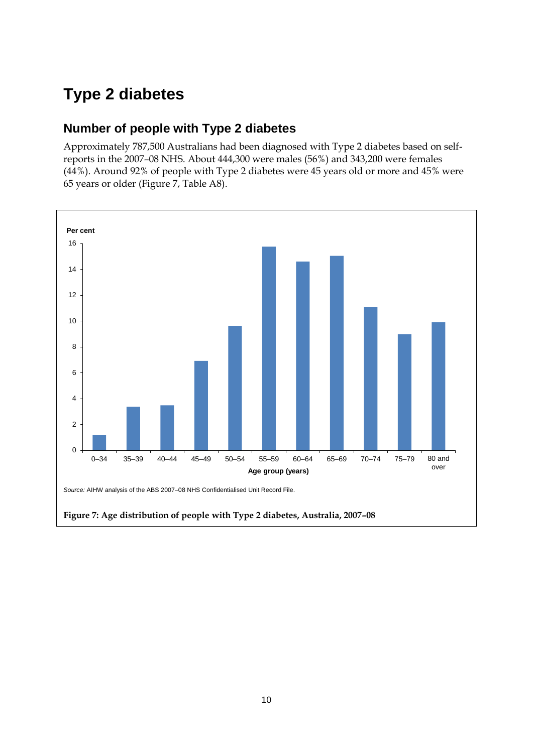## <span id="page-15-0"></span>**Type 2 diabetes**

### <span id="page-15-1"></span>**Number of people with Type 2 diabetes**

Approximately 787,500 Australians had been diagnosed with Type 2 diabetes based on selfreports in the 2007–08 NHS. About 444,300 were males (56%) and 343,200 were females (44%). Around 92% of people with Type 2 diabetes were 45 years old or more and 45% were 65 years or older (Figure 7, Table A8).

<span id="page-15-2"></span>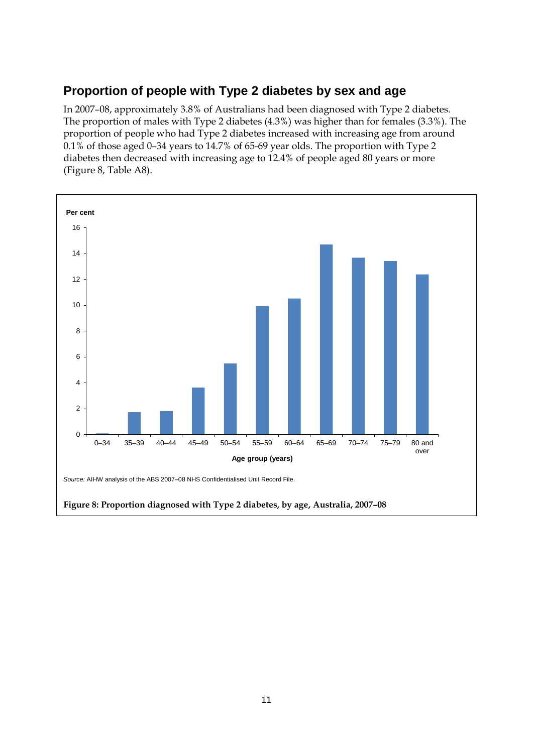## <span id="page-16-0"></span>**Proportion of people with Type 2 diabetes by sex and age**

In 2007–08, approximately 3.8% of Australians had been diagnosed with Type 2 diabetes. The proportion of males with Type 2 diabetes (4.3%) was higher than for females (3.3%). The proportion of people who had Type 2 diabetes increased with increasing age from around 0.1% of those aged 0–34 years to 14.7% of 65-69 year olds. The proportion with Type 2 diabetes then decreased with increasing age to 12.4% of people aged 80 years or more (Figure 8, Table A8).

<span id="page-16-1"></span>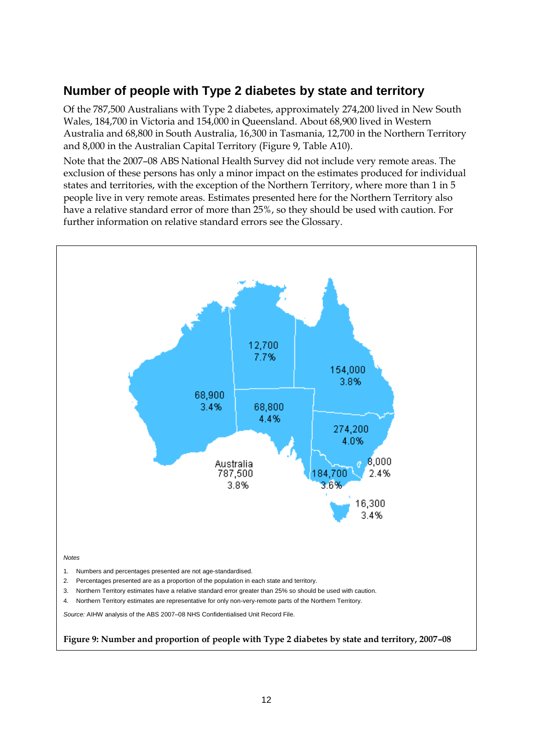## <span id="page-17-0"></span>**Number of people with Type 2 diabetes by state and territory**

Of the 787,500 Australians with Type 2 diabetes, approximately 274,200 lived in New South Wales, 184,700 in Victoria and 154,000 in Queensland. About 68,900 lived in Western Australia and 68,800 in South Australia, 16,300 in Tasmania, 12,700 in the Northern Territory and 8,000 in the Australian Capital Territory (Figure 9, Table A10).

Note that the 2007–08 ABS National Health Survey did not include very remote areas. The exclusion of these persons has only a minor impact on the estimates produced for individual states and territories, with the exception of the Northern Territory, where more than 1 in 5 people live in very remote areas. Estimates presented here for the Northern Territory also have a relative standard error of more than 25%, so they should be used with caution. For further information on relative standard errors see the Glossary.

<span id="page-17-1"></span>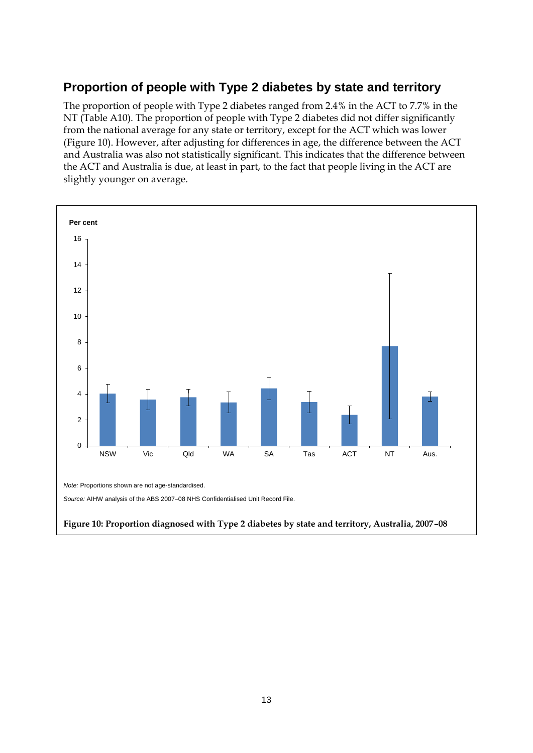## <span id="page-18-0"></span>**Proportion of people with Type 2 diabetes by state and territory**

The proportion of people with Type 2 diabetes ranged from 2.4% in the ACT to 7.7% in the NT (Table A10). The proportion of people with Type 2 diabetes did not differ significantly from the national average for any state or territory, except for the ACT which was lower (Figure 10). However, after adjusting for differences in age, the difference between the ACT and Australia was also not statistically significant. This indicates that the difference between the ACT and Australia is due, at least in part, to the fact that people living in the ACT are slightly younger on average.

<span id="page-18-1"></span>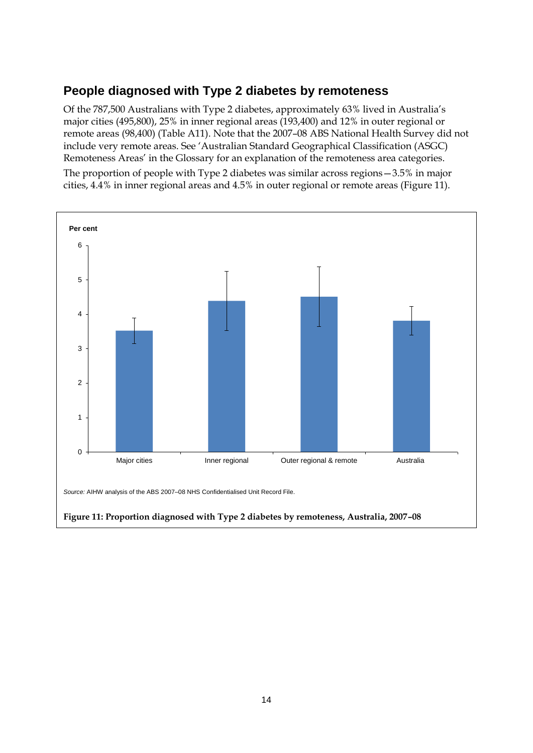### <span id="page-19-0"></span>**People diagnosed with Type 2 diabetes by remoteness**

Of the 787,500 Australians with Type 2 diabetes, approximately 63% lived in Australia's major cities (495,800), 25% in inner regional areas (193,400) and 12% in outer regional or remote areas (98,400) (Table A11). Note that the 2007–08 ABS National Health Survey did not include very remote areas. See 'Australian Standard Geographical Classification (ASGC) Remoteness Areas' in the Glossary for an explanation of the remoteness area categories. The proportion of people with Type 2 diabetes was similar across regions—3.5% in major cities, 4.4% in inner regional areas and 4.5% in outer regional or remote areas (Figure 11).

<span id="page-19-1"></span>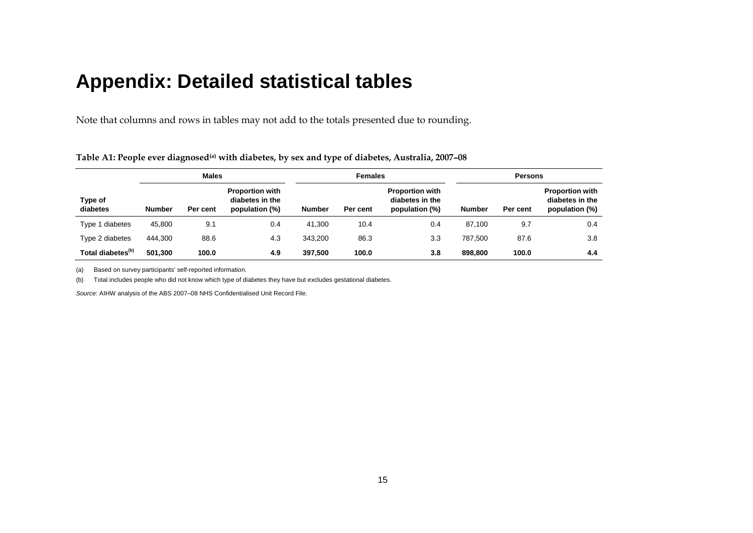## **Appendix: Detailed statistical tables**

Note that columns and rows in tables may not add to the totals presented due to rounding.

|                               | <b>Males</b>  |          |                                                             | <b>Females</b> |          |                                                             | <b>Persons</b> |          |                                                             |
|-------------------------------|---------------|----------|-------------------------------------------------------------|----------------|----------|-------------------------------------------------------------|----------------|----------|-------------------------------------------------------------|
| Type of<br>diabetes           | <b>Number</b> | Per cent | <b>Proportion with</b><br>diabetes in the<br>population (%) | <b>Number</b>  | Per cent | <b>Proportion with</b><br>diabetes in the<br>population (%) | <b>Number</b>  | Per cent | <b>Proportion with</b><br>diabetes in the<br>population (%) |
| Type 1 diabetes               | 45,800        | 9.1      | 0.4                                                         | 41.300         | 10.4     | 0.4                                                         | 87.100         | 9.7      | 0.4                                                         |
| Type 2 diabetes               | 444.300       | 88.6     | 4.3                                                         | 343.200        | 86.3     | 3.3                                                         | 787.500        | 87.6     | 3.8                                                         |
| Total diabetes <sup>(b)</sup> | 501.300       | 100.0    | 4.9                                                         | 397,500        | 100.0    | 3.8                                                         | 898.800        | 100.0    | 4.4                                                         |

**Table A1: People ever diagnosed(a) with diabetes, by sex and type of diabetes, Australia, 2007–08**

(a) Based on survey participants' self-reported information.

<span id="page-20-1"></span><span id="page-20-0"></span>(b) Total includes people who did not know which type of diabetes they have but excludes gestational diabetes.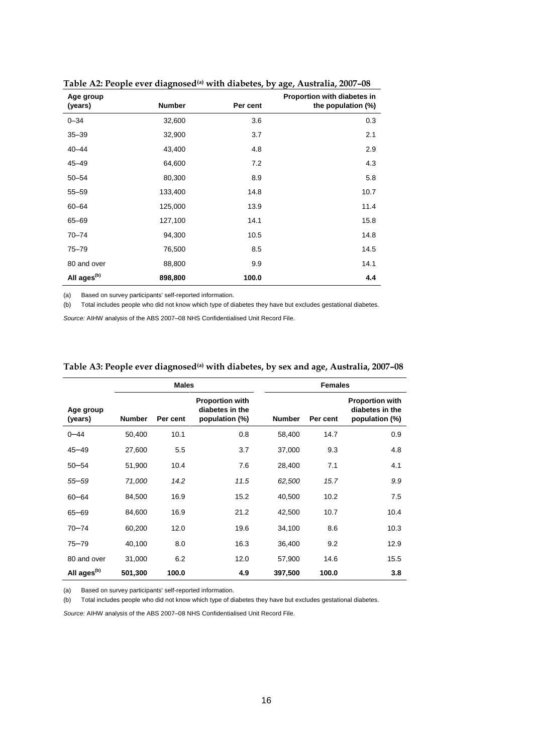| Age group<br>(years)    | . .<br><b>Number</b> | Per cent | Proportion with diabetes in<br>the population (%) |
|-------------------------|----------------------|----------|---------------------------------------------------|
| $0 - 34$                | 32,600               | 3.6      | 0.3                                               |
| $35 - 39$               | 32,900               | 3.7      | 2.1                                               |
| $40 - 44$               | 43,400               | 4.8      | 2.9                                               |
| $45 - 49$               | 64,600               | 7.2      | 4.3                                               |
| $50 - 54$               | 80,300               | 8.9      | 5.8                                               |
| $55 - 59$               | 133,400              | 14.8     | 10.7                                              |
| $60 - 64$               | 125,000              | 13.9     | 11.4                                              |
| 65-69                   | 127,100              | 14.1     | 15.8                                              |
| $70 - 74$               | 94,300               | 10.5     | 14.8                                              |
| $75 - 79$               | 76,500               | 8.5      | 14.5                                              |
| 80 and over             | 88,800               | 9.9      | 14.1                                              |
| All ages <sup>(b)</sup> | 898,800              | 100.0    | 4.4                                               |

<span id="page-21-0"></span>**Table A2: People ever diagnosed(a) with diabetes, by age, Australia, 2007–08**

(a) Based on survey participants' self-reported information.

(b) Total includes people who did not know which type of diabetes they have but excludes gestational diabetes.

*Source:* AIHW analysis of the ABS 2007–08 NHS Confidentialised Unit Record File.

|                         |               | <b>Males</b> |                                                             |               | <b>Females</b> |                                                             |
|-------------------------|---------------|--------------|-------------------------------------------------------------|---------------|----------------|-------------------------------------------------------------|
| Age group<br>(years)    | <b>Number</b> | Per cent     | <b>Proportion with</b><br>diabetes in the<br>population (%) | <b>Number</b> | Per cent       | <b>Proportion with</b><br>diabetes in the<br>population (%) |
| $0 - 44$                | 50,400        | 10.1         | 0.8                                                         | 58,400        | 14.7           | 0.9                                                         |
| $45 - 49$               | 27,600        | 5.5          | 3.7                                                         | 37,000        | 9.3            | 4.8                                                         |
| $50 - 54$               | 51,900        | 10.4         | 7.6                                                         | 28,400        | 7.1            | 4.1                                                         |
| $55 - 59$               | 71,000        | 14.2         | 11.5                                                        | 62,500        | 15.7           | 9.9                                                         |
| $60 - 64$               | 84,500        | 16.9         | 15.2                                                        | 40,500        | 10.2           | 7.5                                                         |
| $65 - 69$               | 84,600        | 16.9         | 21.2                                                        | 42,500        | 10.7           | 10.4                                                        |
| $70 - 74$               | 60,200        | 12.0         | 19.6                                                        | 34,100        | 8.6            | 10.3                                                        |
| 75-79                   | 40,100        | 8.0          | 16.3                                                        | 36,400        | 9.2            | 12.9                                                        |
| 80 and over             | 31,000        | 6.2          | 12.0                                                        | 57,900        | 14.6           | 15.5                                                        |
| All ages <sup>(b)</sup> | 501,300       | 100.0        | 4.9                                                         | 397,500       | 100.0          | 3.8                                                         |

#### <span id="page-21-1"></span>**Table A3: People ever diagnosed(a) with diabetes, by sex and age, Australia, 2007–08**

(a) Based on survey participants' self-reported information.

(b) Total includes people who did not know which type of diabetes they have but excludes gestational diabetes.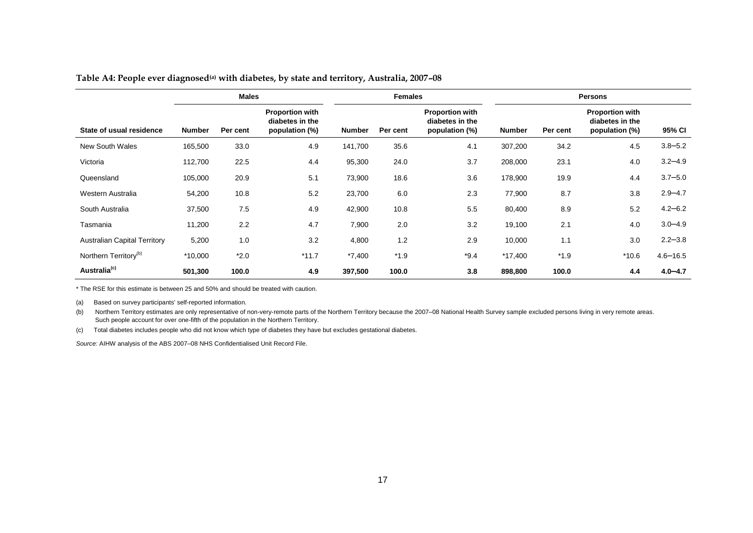|  | Table A4: People ever diagnosed <sup>(a)</sup> with diabetes, by state and territory, Australia, 2007-08 |
|--|----------------------------------------------------------------------------------------------------------|
|  |                                                                                                          |

|                                     | <b>Males</b>  |          |                                                             | <b>Females</b> |          |                                                             | <b>Persons</b> |          |                                                             |              |
|-------------------------------------|---------------|----------|-------------------------------------------------------------|----------------|----------|-------------------------------------------------------------|----------------|----------|-------------------------------------------------------------|--------------|
| State of usual residence            | <b>Number</b> | Per cent | <b>Proportion with</b><br>diabetes in the<br>population (%) | <b>Number</b>  | Per cent | <b>Proportion with</b><br>diabetes in the<br>population (%) | <b>Number</b>  | Per cent | <b>Proportion with</b><br>diabetes in the<br>population (%) | 95% CI       |
| <b>New South Wales</b>              | 165,500       | 33.0     | 4.9                                                         | 141,700        | 35.6     | 4.1                                                         | 307,200        | 34.2     | 4.5                                                         | $3.8 - 5.2$  |
| Victoria                            | 112,700       | 22.5     | 4.4                                                         | 95,300         | 24.0     | 3.7                                                         | 208,000        | 23.1     | 4.0                                                         | $3.2 - 4.9$  |
| Queensland                          | 105,000       | 20.9     | 5.1                                                         | 73,900         | 18.6     | 3.6                                                         | 178,900        | 19.9     | 4.4                                                         | $3.7 - 5.0$  |
| Western Australia                   | 54,200        | 10.8     | 5.2                                                         | 23,700         | 6.0      | 2.3                                                         | 77,900         | 8.7      | 3.8                                                         | $2.9 - 4.7$  |
| South Australia                     | 37,500        | 7.5      | 4.9                                                         | 42,900         | 10.8     | 5.5                                                         | 80,400         | 8.9      | 5.2                                                         | $4.2 - 6.2$  |
| Tasmania                            | 11,200        | 2.2      | 4.7                                                         | 7,900          | 2.0      | 3.2                                                         | 19,100         | 2.1      | 4.0                                                         | $3.0 - 4.9$  |
| <b>Australian Capital Territory</b> | 5,200         | 1.0      | 3.2                                                         | 4,800          | 1.2      | 2.9                                                         | 10,000         | 1.1      | 3.0                                                         | $2.2 - 3.8$  |
| Northern Territory <sup>(b)</sup>   | *10,000       | $*2.0$   | $*11.7$                                                     | $*7,400$       | $*1.9$   | $*9.4$                                                      | $*17,400$      | $*1.9$   | $*10.6$                                                     | $4.6 - 16.5$ |
| Australia <sup>(c)</sup>            | 501,300       | 100.0    | 4.9                                                         | 397,500        | 100.0    | 3.8                                                         | 898,800        | 100.0    | 4.4                                                         | $4.0 - 4.7$  |

<span id="page-22-0"></span>\* The RSE for this estimate is between 25 and 50% and should be treated with caution.

(a) Based on survey participants' self-reported information.

(b) Northern Territory estimates are only representative of non-very-remote parts of the Northern Territory because the 2007–08 National Health Survey sample excluded persons living in very remote areas. Such people account for over one-fifth of the population in the Northern Territory.

(c) Total diabetes includes people who did not know which type of diabetes they have but excludes gestational diabetes.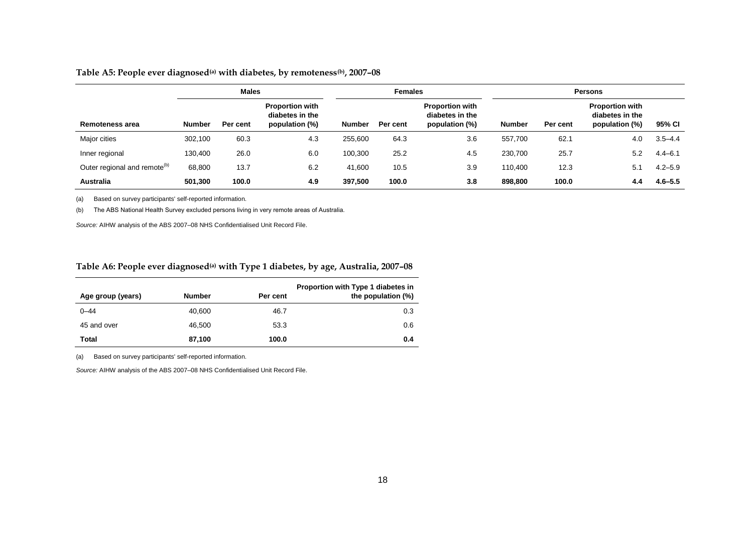#### **Table A5: People ever diagnosed(a) with diabetes, by remoteness(b), 2007–08**

|                                          | <b>Males</b> |          |                                                             | <b>Females</b> |          |                                                             | <b>Persons</b> |          |                                                             |             |
|------------------------------------------|--------------|----------|-------------------------------------------------------------|----------------|----------|-------------------------------------------------------------|----------------|----------|-------------------------------------------------------------|-------------|
| Remoteness area                          | Number       | Per cent | <b>Proportion with</b><br>diabetes in the<br>population (%) | Number         | Per cent | <b>Proportion with</b><br>diabetes in the<br>population (%) | <b>Number</b>  | Per cent | <b>Proportion with</b><br>diabetes in the<br>population (%) | 95% CI      |
| Major cities                             | 302,100      | 60.3     | 4.3                                                         | 255,600        | 64.3     | 3.6                                                         | 557.700        | 62.1     | 4.0                                                         | $3.5 - 4.4$ |
| Inner regional                           | 130,400      | 26.0     | 6.0                                                         | 100,300        | 25.2     | 4.5                                                         | 230.700        | 25.7     | 5.2                                                         | $4.4 - 6.1$ |
| Outer regional and remote <sup>(b)</sup> | 68,800       | 13.7     | 6.2                                                         | 41.600         | 10.5     | 3.9                                                         | 110.400        | 12.3     | 5.1                                                         | $4.2 - 5.9$ |
| <b>Australia</b>                         | 501,300      | 100.0    | 4.9                                                         | 397.500        | 100.0    | 3.8                                                         | 898,800        | 100.0    | 4.4                                                         | $4.6 - 5.5$ |

(a) Based on survey participants' self-reported information.

(b) The ABS National Health Survey excluded persons living in very remote areas of Australia.

*Source:* AIHW analysis of the ABS 2007–08 NHS Confidentialised Unit Record File.

#### **Table A6: People ever diagnosed(a) with Type 1 diabetes, by age, Australia, 2007–08**

<span id="page-23-0"></span>

| Age group (years) | <b>Number</b> | Per cent | Proportion with Type 1 diabetes in<br>the population (%) |
|-------------------|---------------|----------|----------------------------------------------------------|
| $0 - 44$          | 40.600        | 46.7     | 0.3                                                      |
| 45 and over       | 46.500        | 53.3     | 0.6                                                      |
| Total             | 87.100        | 100.0    | 0.4                                                      |

<span id="page-23-1"></span>(a) Based on survey participants' self-reported information.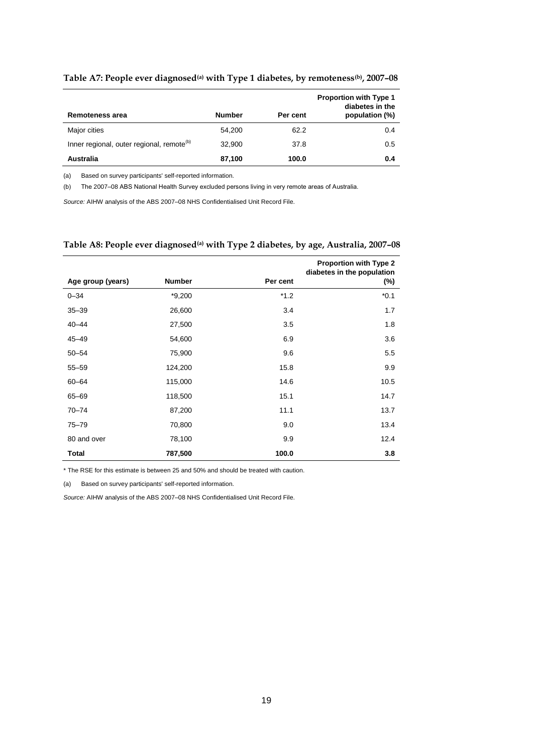| Remoteness area                                       | <b>Number</b> | Per cent | <b>Proportion with Type 1</b><br>diabetes in the<br>population (%) |
|-------------------------------------------------------|---------------|----------|--------------------------------------------------------------------|
| Major cities                                          | 54.200        | 62.2     | 0.4                                                                |
| Inner regional, outer regional, remote <sup>(b)</sup> | 32.900        | 37.8     | 0.5                                                                |
| Australia                                             | 87,100        | 100.0    | 0.4                                                                |

#### <span id="page-24-0"></span>**Table A7: People ever diagnosed(a) with Type 1 diabetes, by remoteness(b), 2007–08**

(a) Based on survey participants' self-reported information.

(b) The 2007–08 ABS National Health Survey excluded persons living in very remote areas of Australia.

*Source:* AIHW analysis of the ABS 2007–08 NHS Confidentialised Unit Record File.

#### <span id="page-24-1"></span>**Table A8: People ever diagnosed(a) with Type 2 diabetes, by age, Australia, 2007–08**

|                   |               |          | Proportion with Type 2<br>diabetes in the population |
|-------------------|---------------|----------|------------------------------------------------------|
| Age group (years) | <b>Number</b> | Per cent | $(\%)$                                               |
| $0 - 34$          | $*9,200$      | $*1.2$   | $*0.1$                                               |
| $35 - 39$         | 26,600        | 3.4      | 1.7                                                  |
| $40 - 44$         | 27,500        | 3.5      | 1.8                                                  |
| $45 - 49$         | 54,600        | 6.9      | 3.6                                                  |
| $50 - 54$         | 75,900        | 9.6      | 5.5                                                  |
| $55 - 59$         | 124,200       | 15.8     | 9.9                                                  |
| 60-64             | 115,000       | 14.6     | 10.5                                                 |
| 65-69             | 118,500       | 15.1     | 14.7                                                 |
| $70 - 74$         | 87,200        | 11.1     | 13.7                                                 |
| $75 - 79$         | 70,800        | 9.0      | 13.4                                                 |
| 80 and over       | 78,100        | 9.9      | 12.4                                                 |
| <b>Total</b>      | 787,500       | 100.0    | 3.8                                                  |

\* The RSE for this estimate is between 25 and 50% and should be treated with caution.

(a) Based on survey participants' self-reported information.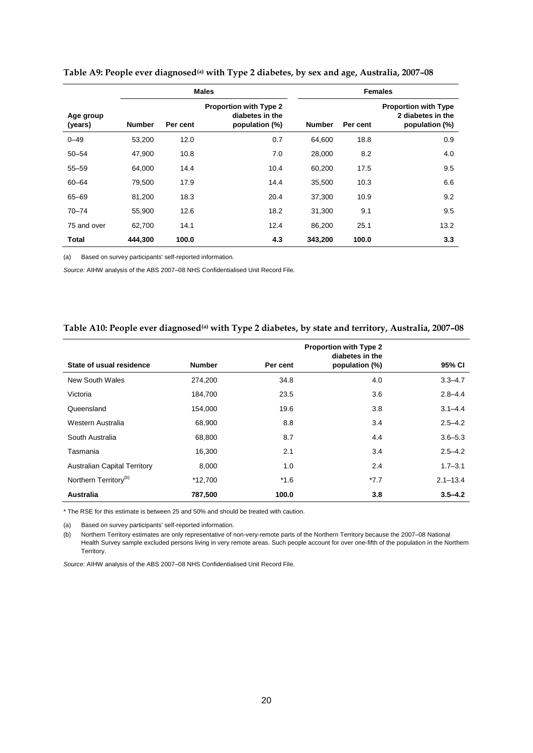|                      |               |          | <b>Males</b>                                                | <b>Females</b> |          |                                                                    |
|----------------------|---------------|----------|-------------------------------------------------------------|----------------|----------|--------------------------------------------------------------------|
| Age group<br>(years) | <b>Number</b> | Per cent | Proportion with Type 2<br>diabetes in the<br>population (%) | Number         | Per cent | <b>Proportion with Type</b><br>2 diabetes in the<br>population (%) |
| $0 - 49$             | 53,200        | 12.0     | 0.7                                                         | 64.600         | 18.8     | 0.9                                                                |
| $50 - 54$            | 47,900        | 10.8     | 7.0                                                         | 28,000         | 8.2      | 4.0                                                                |
| $55 - 59$            | 64.000        | 14.4     | 10.4                                                        | 60.200         | 17.5     | 9.5                                                                |
| $60 - 64$            | 79,500        | 17.9     | 14.4                                                        | 35,500         | 10.3     | 6.6                                                                |
| 65-69                | 81,200        | 18.3     | 20.4                                                        | 37,300         | 10.9     | 9.2                                                                |
| $70 - 74$            | 55,900        | 12.6     | 18.2                                                        | 31,300         | 9.1      | 9.5                                                                |
| 75 and over          | 62.700        | 14.1     | 12.4                                                        | 86.200         | 25.1     | 13.2                                                               |
| <b>Total</b>         | 444,300       | 100.0    | 4.3                                                         | 343,200        | 100.0    | 3.3                                                                |

#### <span id="page-25-0"></span>**Table A9: People ever diagnosed(a) with Type 2 diabetes, by sex and age, Australia, 2007–08**

(a) Based on survey participants' self-reported information.

*Source:* AIHW analysis of the ABS 2007–08 NHS Confidentialised Unit Record File.

#### <span id="page-25-1"></span>**Table A10: People ever diagnosed(a) with Type 2 diabetes, by state and territory, Australia, 2007–08**

|                                     |               |          | <b>Proportion with Type 2</b><br>diabetes in the |              |
|-------------------------------------|---------------|----------|--------------------------------------------------|--------------|
| State of usual residence            | <b>Number</b> | Per cent | population (%)                                   | 95% CI       |
| New South Wales                     | 274,200       | 34.8     | 4.0                                              | $3.3 - 4.7$  |
| Victoria                            | 184,700       | 23.5     | 3.6                                              | $2.8 - 4.4$  |
| Queensland                          | 154,000       | 19.6     | 3.8                                              | $3.1 - 4.4$  |
| Western Australia                   | 68,900        | 8.8      | 3.4                                              | $2.5 - 4.2$  |
| South Australia                     | 68,800        | 8.7      | 4.4                                              | $3.6 - 5.3$  |
| Tasmania                            | 16,300        | 2.1      | 3.4                                              | $2.5 - 4.2$  |
| <b>Australian Capital Territory</b> | 8,000         | 1.0      | 2.4                                              | $1.7 - 3.1$  |
| Northern Territory <sup>(b)</sup>   | *12,700       | $*1.6$   | $*7.7$                                           | $2.1 - 13.4$ |
| Australia                           | 787,500       | 100.0    | 3.8                                              | $3.5 - 4.2$  |

\* The RSE for this estimate is between 25 and 50% and should be treated with caution.

(a) Based on survey participants' self-reported information.

(b) Northern Territory estimates are only representative of non-very-remote parts of the Northern Territory because the 2007–08 National Health Survey sample excluded persons living in very remote areas. Such people account for over one-fifth of the population in the Northern Territory.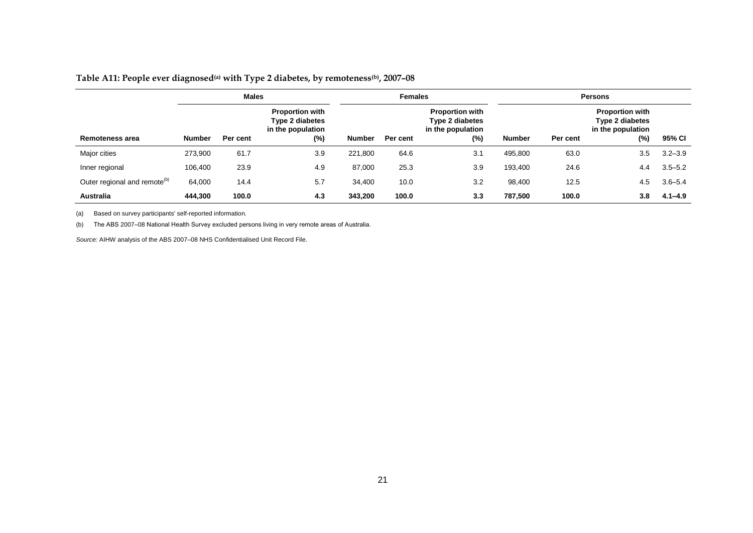### **Table A11: People ever diagnosed(a) with Type 2 diabetes, by remoteness(b), 2007–08**

|                                          | <b>Males</b>  |          |                                                                          | <b>Females</b> |          | <b>Persons</b>                                                        |               |          |                                                                       |             |
|------------------------------------------|---------------|----------|--------------------------------------------------------------------------|----------------|----------|-----------------------------------------------------------------------|---------------|----------|-----------------------------------------------------------------------|-------------|
| Remoteness area                          | <b>Number</b> | Per cent | <b>Proportion with</b><br>Type 2 diabetes<br>in the population<br>$(\%)$ | Number         | Per cent | <b>Proportion with</b><br>Type 2 diabetes<br>in the population<br>(%) | <b>Number</b> | Per cent | <b>Proportion with</b><br>Type 2 diabetes<br>in the population<br>(%) | 95% CI      |
|                                          |               |          |                                                                          |                |          |                                                                       |               |          |                                                                       |             |
| Major cities                             | 273,900       | 61.7     | 3.9                                                                      | 221,800        | 64.6     | 3.1                                                                   | 495,800       | 63.0     | 3.5                                                                   | $3.2 - 3.9$ |
| Inner regional                           | 106,400       | 23.9     | 4.9                                                                      | 87,000         | 25.3     | 3.9                                                                   | 193,400       | 24.6     | 4.4                                                                   | $3.5 - 5.2$ |
| Outer regional and remote <sup>(b)</sup> | 64,000        | 14.4     | 5.7                                                                      | 34,400         | 10.0     | 3.2                                                                   | 98,400        | 12.5     | 4.5                                                                   | $3.6 - 5.4$ |
| <b>Australia</b>                         | 444,300       | 100.0    | 4.3                                                                      | 343,200        | 100.0    | 3.3                                                                   | 787,500       | 100.0    | 3.8                                                                   | $4.1 - 4.9$ |

(a) Based on survey participants' self-reported information.

<span id="page-26-0"></span>(b) The ABS 2007–08 National Health Survey excluded persons living in very remote areas of Australia.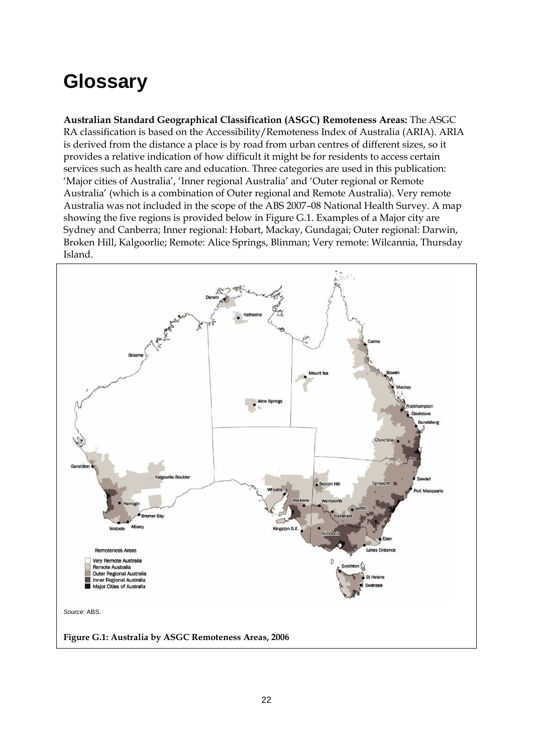## <span id="page-27-0"></span>**Glossary**

**Australian Standard Geographical Classification (ASGC) Remoteness Areas:** The ASGC RA classification is based on the Accessibility/Remoteness Index of Australia (ARIA). ARIA is derived from the distance a place is by road from urban centres of different sizes, so it provides a relative indication of how difficult it might be for residents to access certain services such as health care and education. Three categories are used in this publication: 'Major cities of Australia', 'Inner regional Australia' and 'Outer regional or Remote Australia' (which is a combination of Outer regional and Remote Australia). Very remote Australia was not included in the scope of the ABS 2007–08 National Health Survey. A map showing the five regions is provided below in Figure G.1. Examples of a Major city are Sydney and Canberra; Inner regional: Hobart, Mackay, Gundagai; Outer regional: Darwin, Broken Hill, Kalgoorlie; Remote: Alice Springs, Blinman; Very remote: Wilcannia, Thursday Island.

<span id="page-27-1"></span>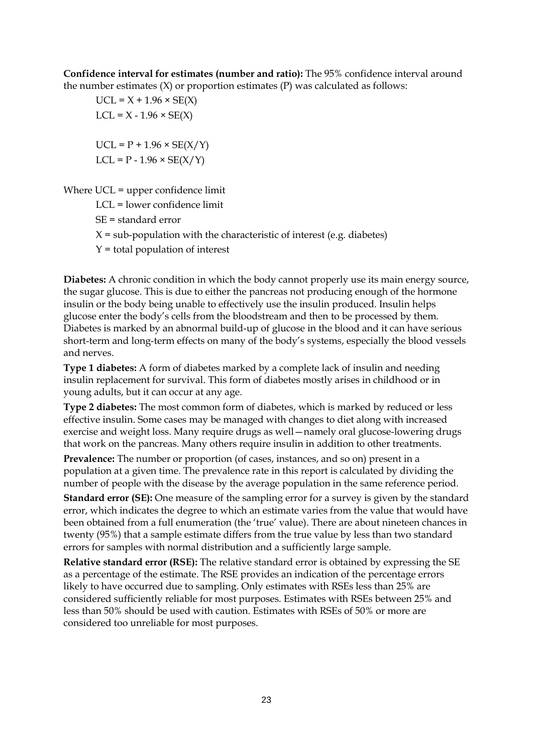**Confidence interval for estimates (number and ratio):** The 95% confidence interval around the number estimates  $(X)$  or proportion estimates  $(P)$  was calculated as follows:

 $UCL = X + 1.96 \times SE(X)$  $LCL = X - 1.96 \times SE(X)$  $UCL = P + 1.96 \times SE(X/Y)$  $LCL = P - 1.96 \times SE(X/Y)$ 

Where UCL = upper confidence limit

LCL = lower confidence limit

- SE = standard error
- $X = sub-population with the characteristic of interest (e.g. diabetes)$

 $Y =$  total population of interest

**Diabetes:** A chronic condition in which the body cannot properly use its main energy source, the sugar glucose. This is due to either the pancreas not producing enough of the hormone insulin or the body being unable to effectively use the insulin produced. Insulin helps glucose enter the body's cells from the bloodstream and then to be processed by them. Diabetes is marked by an abnormal build-up of glucose in the blood and it can have serious short-term and long-term effects on many of the body's systems, especially the blood vessels and nerves.

**Type 1 diabetes:** A form of diabetes marked by a complete lack of insulin and needing insulin replacement for survival. This form of diabetes mostly arises in childhood or in young adults, but it can occur at any age.

**Type 2 diabetes:** The most common form of diabetes, which is marked by reduced or less effective insulin. Some cases may be managed with changes to diet along with increased exercise and weight loss. Many require drugs as well—namely oral glucose-lowering drugs that work on the pancreas. Many others require insulin in addition to other treatments.

**Prevalence:** The number or proportion (of cases, instances, and so on) present in a population at a given time. The prevalence rate in this report is calculated by dividing the number of people with the disease by the average population in the same reference period.

**Standard error (SE):** One measure of the sampling error for a survey is given by the standard error, which indicates the degree to which an estimate varies from the value that would have been obtained from a full enumeration (the 'true' value). There are about nineteen chances in twenty (95%) that a sample estimate differs from the true value by less than two standard errors for samples with normal distribution and a sufficiently large sample.

**Relative standard error (RSE):** The relative standard error is obtained by expressing the SE as a percentage of the estimate. The RSE provides an indication of the percentage errors likely to have occurred due to sampling. Only estimates with RSEs less than 25% are considered sufficiently reliable for most purposes. Estimates with RSEs between 25% and less than 50% should be used with caution. Estimates with RSEs of 50% or more are considered too unreliable for most purposes.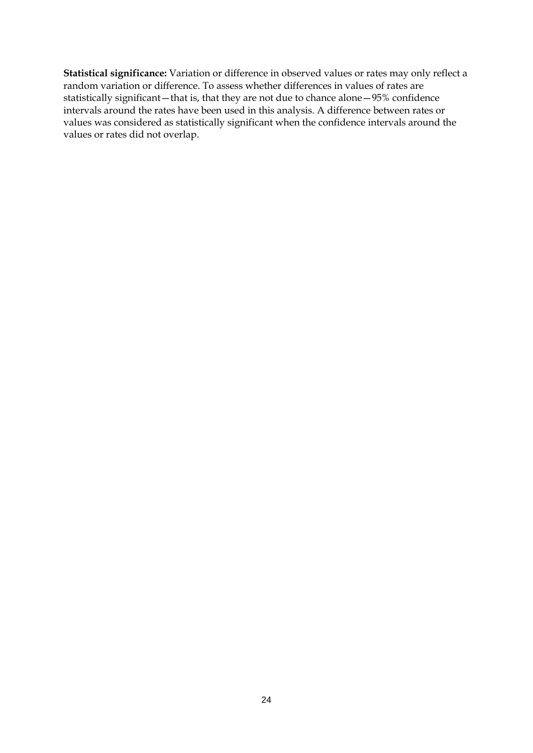**Statistical significance:** Variation or difference in observed values or rates may only reflect a random variation or difference. To assess whether differences in values of rates are statistically significant—that is, that they are not due to chance alone—95% confidence intervals around the rates have been used in this analysis. A difference between rates or values was considered as statistically significant when the confidence intervals around the values or rates did not overlap.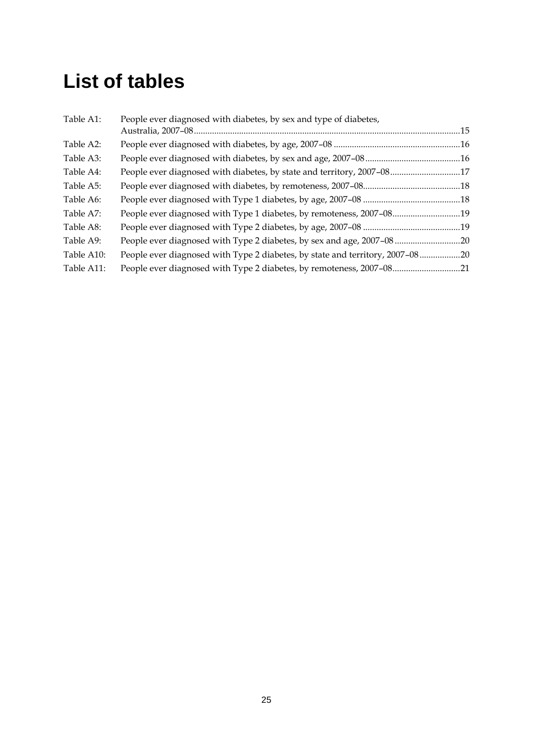## <span id="page-30-0"></span>**List of tables**

| Table A1:  | People ever diagnosed with diabetes, by sex and type of diabetes,             |  |
|------------|-------------------------------------------------------------------------------|--|
| Table A2:  |                                                                               |  |
| Table A3:  |                                                                               |  |
| Table A4:  | People ever diagnosed with diabetes, by state and territory, 2007-0817        |  |
| Table A5:  |                                                                               |  |
| Table A6:  |                                                                               |  |
| Table A7:  | People ever diagnosed with Type 1 diabetes, by remoteness, 2007-0819          |  |
| Table A8:  |                                                                               |  |
| Table A9:  | People ever diagnosed with Type 2 diabetes, by sex and age, 2007-08           |  |
| Table A10: | People ever diagnosed with Type 2 diabetes, by state and territory, 2007-0820 |  |
| Table A11: |                                                                               |  |